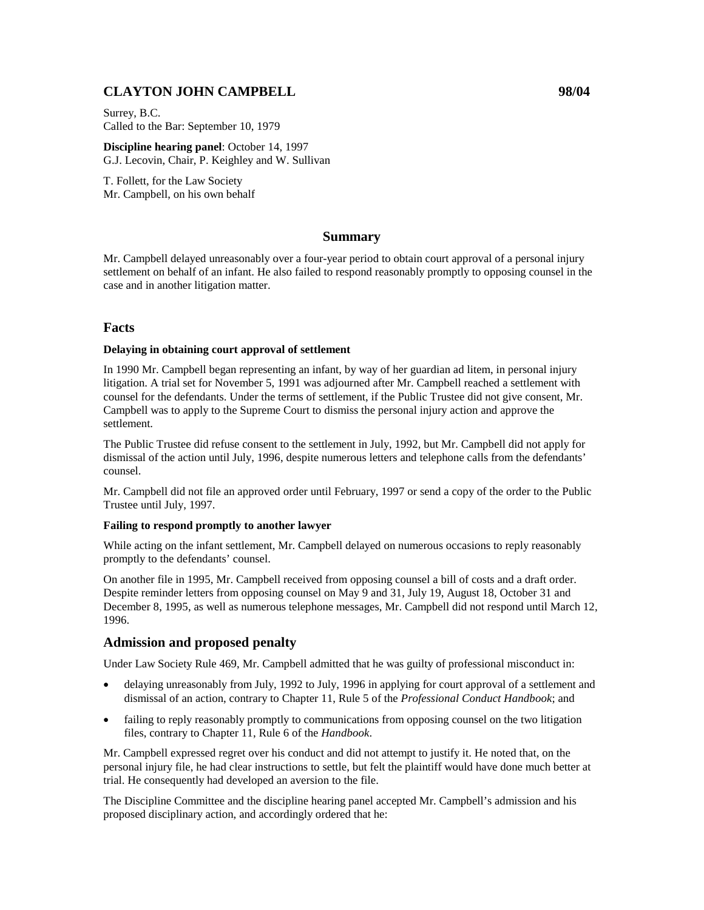# **CLAYTON JOHN CAMPBELL 98/04**

Surrey, B.C. Called to the Bar: September 10, 1979

**Discipline hearing panel**: October 14, 1997 G.J. Lecovin, Chair, P. Keighley and W. Sullivan

T. Follett, for the Law Society Mr. Campbell, on his own behalf

## **Summary**

Mr. Campbell delayed unreasonably over a four-year period to obtain court approval of a personal injury settlement on behalf of an infant. He also failed to respond reasonably promptly to opposing counsel in the case and in another litigation matter.

## **Facts**

### **Delaying in obtaining court approval of settlement**

In 1990 Mr. Campbell began representing an infant, by way of her guardian ad litem, in personal injury litigation. A trial set for November 5, 1991 was adjourned after Mr. Campbell reached a settlement with counsel for the defendants. Under the terms of settlement, if the Public Trustee did not give consent, Mr. Campbell was to apply to the Supreme Court to dismiss the personal injury action and approve the settlement.

The Public Trustee did refuse consent to the settlement in July, 1992, but Mr. Campbell did not apply for dismissal of the action until July, 1996, despite numerous letters and telephone calls from the defendants' counsel.

Mr. Campbell did not file an approved order until February, 1997 or send a copy of the order to the Public Trustee until July, 1997.

### **Failing to respond promptly to another lawyer**

While acting on the infant settlement, Mr. Campbell delayed on numerous occasions to reply reasonably promptly to the defendants' counsel.

On another file in 1995, Mr. Campbell received from opposing counsel a bill of costs and a draft order. Despite reminder letters from opposing counsel on May 9 and 31, July 19, August 18, October 31 and December 8, 1995, as well as numerous telephone messages, Mr. Campbell did not respond until March 12, 1996.

## **Admission and proposed penalty**

Under Law Society Rule 469, Mr. Campbell admitted that he was guilty of professional misconduct in:

- delaying unreasonably from July, 1992 to July, 1996 in applying for court approval of a settlement and dismissal of an action, contrary to Chapter 11, Rule 5 of the *Professional Conduct Handbook*; and
- failing to reply reasonably promptly to communications from opposing counsel on the two litigation files, contrary to Chapter 11, Rule 6 of the *Handbook*.

Mr. Campbell expressed regret over his conduct and did not attempt to justify it. He noted that, on the personal injury file, he had clear instructions to settle, but felt the plaintiff would have done much better at trial. He consequently had developed an aversion to the file.

The Discipline Committee and the discipline hearing panel accepted Mr. Campbell's admission and his proposed disciplinary action, and accordingly ordered that he: